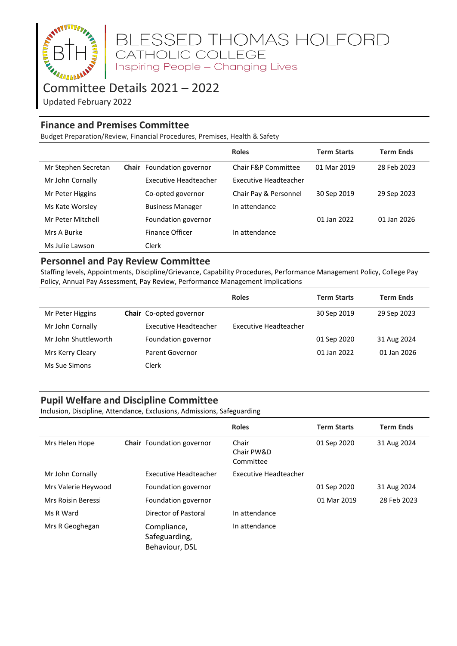

# BLESSED THOMAS HOLFORD<br>CATHOLIC COLLEGE<br>Inspiring People – Changing Lives

# Committee Details 2021 – 2022

Updated February 2022

## **Finance and Premises Committee**

Budget Preparation/Review, Financial Procedures, Premises, Health & Safety

|                     |                           | <b>Roles</b>          | <b>Term Starts</b> | <b>Term Ends</b> |
|---------------------|---------------------------|-----------------------|--------------------|------------------|
| Mr Stephen Secretan | Chair Foundation governor | Chair F&P Committee   | 01 Mar 2019        | 28 Feb 2023      |
| Mr John Cornally    | Executive Headteacher     | Executive Headteacher |                    |                  |
| Mr Peter Higgins    | Co-opted governor         | Chair Pay & Personnel | 30 Sep 2019        | 29 Sep 2023      |
| Ms Kate Worsley     | <b>Business Manager</b>   | In attendance         |                    |                  |
| Mr Peter Mitchell   | Foundation governor       |                       | 01 Jan 2022        | 01 Jan 2026      |
| Mrs A Burke         | <b>Finance Officer</b>    | In attendance         |                    |                  |
| Ms Julie Lawson     | Clerk                     |                       |                    |                  |

#### **Personnel and Pay Review Committee**

Staffing levels, Appointments, Discipline/Grievance, Capability Procedures, Performance Management Policy, College Pay Policy, Annual Pay Assessment, Pay Review, Performance Management Implications

|                      |                         | <b>Roles</b>          | <b>Term Starts</b> | <b>Term Ends</b> |
|----------------------|-------------------------|-----------------------|--------------------|------------------|
| Mr Peter Higgins     | Chair Co-opted governor |                       | 30 Sep 2019        | 29 Sep 2023      |
| Mr John Cornally     | Executive Headteacher   | Executive Headteacher |                    |                  |
| Mr John Shuttleworth | Foundation governor     |                       | 01 Sep 2020        | 31 Aug 2024      |
| Mrs Kerry Cleary     | Parent Governor         |                       | 01 Jan 2022        | 01 Jan 2026      |
| Ms Sue Simons        | Clerk                   |                       |                    |                  |

#### **Pupil Welfare and Discipline Committee**

Inclusion, Discipline, Attendance, Exclusions, Admissions, Safeguarding

|                     |                                                | <b>Roles</b>                     | <b>Term Starts</b> | <b>Term Ends</b> |
|---------------------|------------------------------------------------|----------------------------------|--------------------|------------------|
| Mrs Helen Hope      | Chair Foundation governor                      | Chair<br>Chair PW&D<br>Committee | 01 Sep 2020        | 31 Aug 2024      |
| Mr John Cornally    | Executive Headteacher                          | Executive Headteacher            |                    |                  |
| Mrs Valerie Heywood | Foundation governor                            |                                  | 01 Sep 2020        | 31 Aug 2024      |
| Mrs Roisin Beressi  | Foundation governor                            |                                  | 01 Mar 2019        | 28 Feb 2023      |
| Ms R Ward           | Director of Pastoral                           | In attendance                    |                    |                  |
| Mrs R Geoghegan     | Compliance,<br>Safeguarding,<br>Behaviour, DSL | In attendance                    |                    |                  |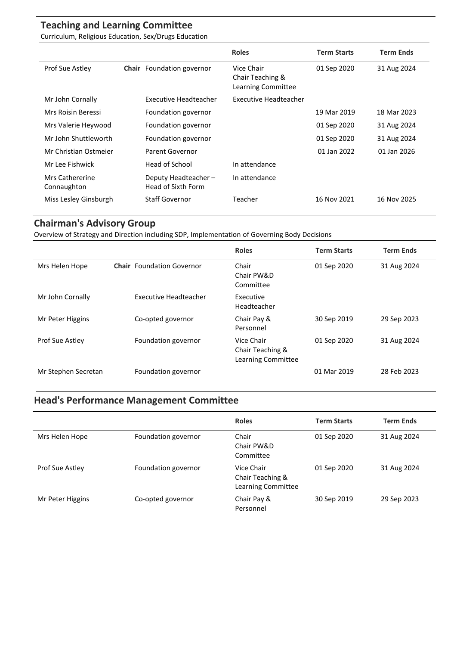## **Teaching and Learning Committee**

Curriculum, Religious Education, Sex/Drugs Education

|                                |                                           | <b>Roles</b>                                         | <b>Term Starts</b> | <b>Term Ends</b> |
|--------------------------------|-------------------------------------------|------------------------------------------------------|--------------------|------------------|
| Prof Sue Astley                | Chair Foundation governor                 | Vice Chair<br>Chair Teaching &<br>Learning Committee | 01 Sep 2020        | 31 Aug 2024      |
| Mr John Cornally               | Executive Headteacher                     | Executive Headteacher                                |                    |                  |
| Mrs Roisin Beressi             | Foundation governor                       |                                                      | 19 Mar 2019        | 18 Mar 2023      |
| Mrs Valerie Heywood            | Foundation governor                       |                                                      | 01 Sep 2020        | 31 Aug 2024      |
| Mr John Shuttleworth           | Foundation governor                       |                                                      | 01 Sep 2020        | 31 Aug 2024      |
| Mr Christian Ostmeier          | Parent Governor                           |                                                      | 01 Jan 2022        | 01 Jan 2026      |
| Mr Lee Fishwick                | Head of School                            | In attendance                                        |                    |                  |
| Mrs Cathererine<br>Connaughton | Deputy Headteacher-<br>Head of Sixth Form | In attendance                                        |                    |                  |
| Miss Lesley Ginsburgh          | <b>Staff Governor</b>                     | Teacher                                              | 16 Nov 2021        | 16 Nov 2025      |

### **Chairman's Advisory Group**

Overview of Strategy and Direction including SDP, Implementation of Governing Body Decisions

|                        |                                  | <b>Roles</b>                                         | <b>Term Starts</b> | <b>Term Ends</b> |
|------------------------|----------------------------------|------------------------------------------------------|--------------------|------------------|
| Mrs Helen Hope         | <b>Chair</b> Foundation Governor | Chair<br>Chair PW&D<br>Committee                     | 01 Sep 2020        | 31 Aug 2024      |
| Mr John Cornally       | Executive Headteacher            | Executive<br>Headteacher                             |                    |                  |
| Mr Peter Higgins       | Co-opted governor                | Chair Pay &<br>Personnel                             | 30 Sep 2019        | 29 Sep 2023      |
| <b>Prof Sue Astley</b> | Foundation governor              | Vice Chair<br>Chair Teaching &<br>Learning Committee | 01 Sep 2020        | 31 Aug 2024      |
| Mr Stephen Secretan    | Foundation governor              |                                                      | 01 Mar 2019        | 28 Feb 2023      |

# **Head's Performance Management Committee**

|                  |                     | <b>Roles</b>                                         | <b>Term Starts</b> | <b>Term Ends</b> |
|------------------|---------------------|------------------------------------------------------|--------------------|------------------|
| Mrs Helen Hope   | Foundation governor | Chair<br>Chair PW&D<br>Committee                     | 01 Sep 2020        | 31 Aug 2024      |
| Prof Sue Astley  | Foundation governor | Vice Chair<br>Chair Teaching &<br>Learning Committee | 01 Sep 2020        | 31 Aug 2024      |
| Mr Peter Higgins | Co-opted governor   | Chair Pay &<br>Personnel                             | 30 Sep 2019        | 29 Sep 2023      |